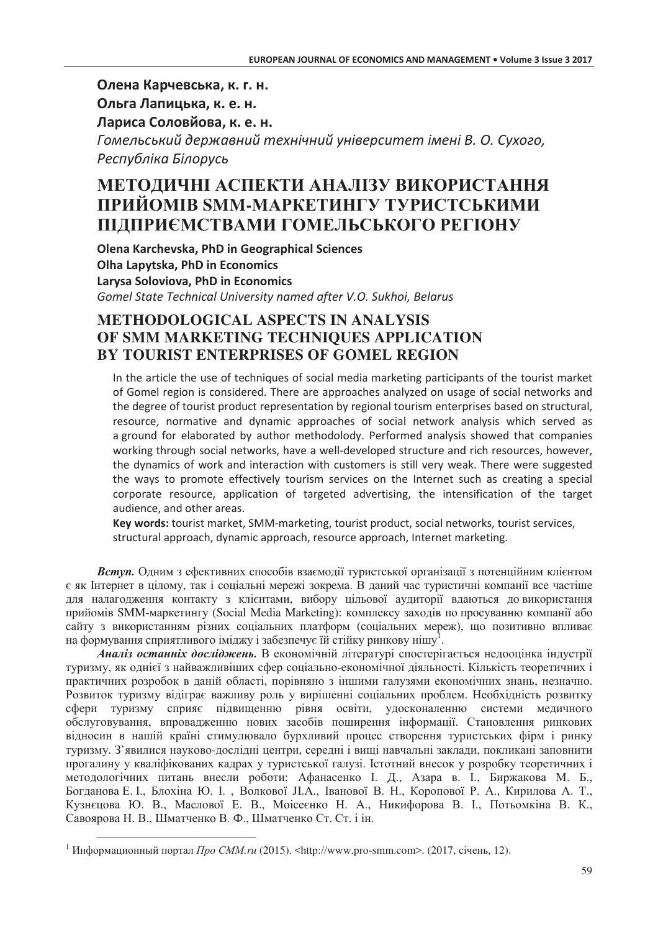Олена Карчевська, к. г. н.

Ольга Лапицька, к. е. н.

Лариса Соловйова, к. е. н.

Гомельський державний технічний університет імені В. О. Сухого, Республіка Білорусь

# МЕТОДИЧНІ АСПЕКТИ АНАЛІЗУ ВИКОРИСТАННЯ ПРИЙОМІВ SMM-МАРКЕТИНГУ ТУРИСТСЬКИМИ ПІДПРИЄМСТВАМИ ГОМЕЛЬСЬКОГО РЕГІОНУ

Olena Karchevska, PhD in Geographical Sciences Olha Lapytska. PhD in Economics Larysa Soloviova, PhD in Economics Gomel State Technical University named after V.O. Sukhoi, Belarus

## **METHODOLOGICAL ASPECTS IN ANALYSIS** OF SMM MARKETING TECHNIOUES APPLICATION BY TOURIST ENTERPRISES OF GOMEL REGION

In the article the use of techniques of social media marketing participants of the tourist market of Gomel region is considered. There are approaches analyzed on usage of social networks and the degree of tourist product representation by regional tourism enterprises based on structural. resource, normative and dynamic approaches of social network analysis which served as a ground for elaborated by author methodolody. Performed analysis showed that companies working through social networks, have a well-developed structure and rich resources, however, the dynamics of work and interaction with customers is still very weak. There were suggested the ways to promote effectively tourism services on the Internet such as creating a special corporate resource, application of targeted advertising, the intensification of the target audience, and other areas.

Key words: tourist market, SMM-marketing, tourist product, social networks, tourist services, structural approach, dynamic approach, resource approach, Internet marketing.

Вступ. Одним з ефективних способів взаємодії туристської організації з потенційним клієнтом є як Інтернет в цілому, так і соціальні мережі зокрема. В даний час туристичні компанії все частіше для налагодження контакту з клієнтами, вибору цільової аудиторії вдаються до використання прийомів SMM-маркетингу (Social Media Marketing): комплексу заходів по просуванню компанії або сайту з використанням різних соціальних платформ (соціальних мереж), що позитивно впливає на формування сприятливого іміджу і забезпечує їй стійку ринкову нішу<sup>1</sup>.

Аналіз останніх досліджень. В економічній літературі спостерігається недооцінка індустрії туризму, як однієї з найважливіших сфер соціально-економічної діяльності. Кількість теоретичних і практичних розробок в даній області, порівняно з іншими галузями економічних знань, незначно. Розвиток туризму відіграє важливу роль у вирішенні соціальних проблем. Необхідність розвитку сфери туризму сприяє підвищенню рівня освіти, удосконаленню системи медичного обслуговування, впровадженню нових засобів поширення інформації. Становлення ринкових відносин в нашій країні стимулювало бурхливий процес створення туристських фірм і ринку туризму. З'явилися науково-дослідні центри, середні і вищі навчальні заклади, покликані заповнити прогалину у кваліфікованих кадрах у туристської галузі. Істотний внесок у розробку теоретичних і методологічних питань внесли роботи: Афанасенко І. Д., Азара в. І., Биржакова М. Б., Богданова Е. І., Блохіна Ю. І., Волкової Л.А., Іванової В. Н., Коропової Р. А., Кирилова А. Т., Кузнєцова Ю. В., Маслової Е. В., Моісеєнко Н. А., Никифорова В. І., Потьомкіна В. К., Савоярова Н. В., Шматченко В. Ф., Шматченко Ст. Ст. і ін.

<sup>&</sup>lt;sup>1</sup> Информационный портал *Про СММ.ru* (2015). <http://www.pro-smm.com>. (2017, січень, 12).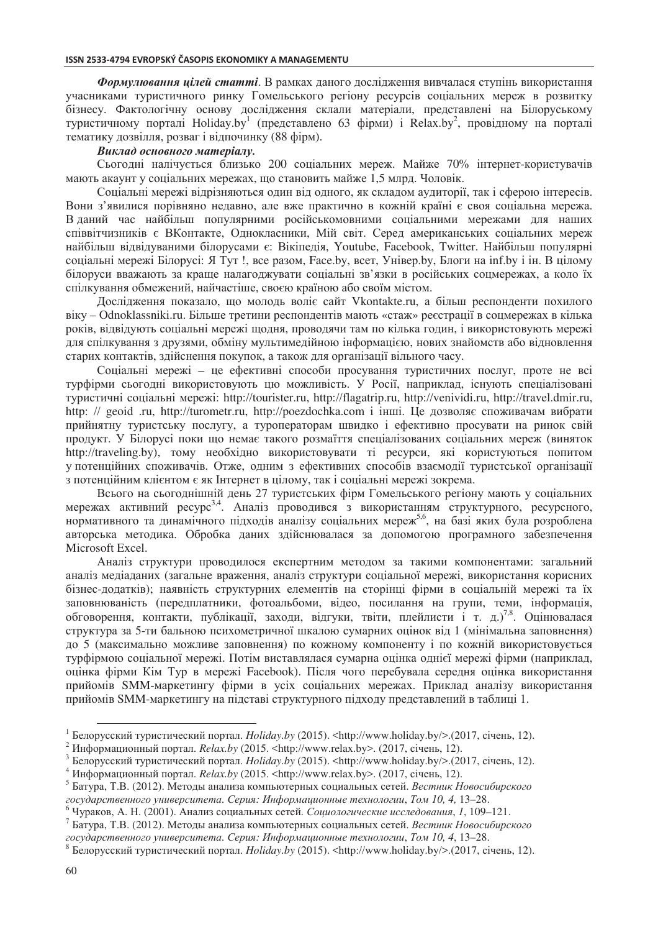**Формулювання цілей статті**. В рамках даного дослідження вивчалася ступінь використання учасниками туристичного ринку Гомельського регіону ресурсів соціальних мереж в розвитку бізнесу. Фактологічну основу дослідження склали матеріали, представлені на Білоруському туристичному порталі Holiday.by<sup>1</sup> (представлено 63 фірми) і Relax.by<sup>2</sup>, провідному на порталі тематику дозвілля, розваг і відпочинку (88 фірм).

#### Виклад основного матеріалу.

Сьогодні налічується близько 200 соціальних мереж. Майже 70% інтернет-користувачів мають акаунт у соціальних мережах, що становить майже 1,5 млрд. Чоловік.

Соціальні мережі відрізняються один від одного, як складом аудиторії, так і сферою інтересів. Вони з'явилися порівняно недавно, але вже практично в кожній країні є своя соціальна мережа. В даний час найбільш популярними російськомовними соціальними мережами для наших співвітчизників є ВКонтакте, Однокласники, Мій світ. Серед американських соціальних мереж найбільш відвідуваними білорусами є: Вікіпедія, Youtube, Facebook, Twitter. Найбільш популярні соціальні мережі Білорусі: Я Тут !, все разом, Face.by, всет, Універ.by, Блоги на inf.by і ін. В цілому білоруси вважають за краще налагоджувати соціальні зв'язки в російських соцмережах, а коло їх спілкування обмежений, найчастіше, своєю країною або своїм містом.

Дослідження показало, що молодь воліє сайт Vkontakte.ru, а більш респонденти похилого віку – Odnoklassniki.ru. Більше третини респондентів мають «стаж» реєстрації в соцмережах в кілька років, відвідують соціальні мережі щодня, проводячи там по кілька годин, і використовують мережі для спілкування з друзями, обміну мультимедійною інформацією, нових знайомств або відновлення старих контактів, здійснення покупок, а також для організації вільного часу.

Соціальні мережі – це ефективні способи просування туристичних послуг, проте не всі турфірми сьогодні використовують цю можливість. У Росії, наприклад, існують спеціалізовані туристичні соціальні мережі: http://tourister.ru, http://flagatrip.ru, http://venividi.ru, http://travel.dmir.ru, http: // geoid .ru, http://turometr.ru, http://poezdochka.com i інші. Це дозволяє споживачам вибрати прийнятну туристську послугу, а туроператорам швидко і ефективно просувати на ринок свій продукт. У Білорусі поки що немає такого розмаїття спеціалізованих соціальних мереж (виняток http://traveling.by), тому необхідно використовувати ті ресурси, які користуються попитом у потенційних споживачів. Отже, одним з ефективних способів взаємодії туристської організації з потенційним клієнтом є як Інтернет в цілому, так і соціальні мережі зокрема.

Всього на сьогоднішній день 27 туристських фірм Гомельського регіону мають у соціальних мережах активний ресурс<sup>3,4</sup>. Аналіз проводився з використанням структурного, ресурсного, нормативного та динамічного підходів аналізу соціальних мереж<sup>5,6</sup>, на базі яких була розроблена авторська методика. Обробка даних здійснювалася за допомогою програмного забезпечення Microsoft Excel.

Аналіз структури проводилося експертним методом за такими компонентами: загальний аналіз медіаданих (загальне враження, аналіз структури соціальної мережі, використання корисних бізнес-додатків); наявність структурних елементів на сторінці фірми в соціальній мережі та їх заповнюваність (передплатники, фотоальбоми, відео, посилання на групи, теми, інформація, обговорення, контакти, публікації, заходи, відгуки, твіти, плейлисти і т. д.)<sup>7,8</sup>. Оцінювалася структура за 5-ти бальною психометричної шкалою сумарних оцінок від 1 (мінімальна заповнення) до 5 (максимально можливе заповнення) по кожному компоненту і по кожній використовується турфірмою соціальної мережі. Потім виставлялася сумарна оцінка однієї мережі фірми (наприклад, оцінка фірми Кім Тур в мережі Facebook). Після чого перебувала середня оцінка використання прийомів SMM-маркетингу фірми в усіх соціальних мережах. Приклад аналізу використання прийомів SMM-маркетингу на підставі структурного підходу представлений в таблиці 1.

<sup>1</sup> Белорусский туристический портал. *Holiday.by* (2015). <http://www.holiday.by/>.(2017, січень, 12).

<sup>&</sup>lt;sup>2</sup> Информационный портал. *Relax.by* (2015. <http://www.relax.by>. (2017, січень, 12).

<sup>&</sup>lt;sup>3</sup> Белорусский туристический портал. Holiday.by (2015). <http://www.holiday.by/>.(2017, січень, 12).

<sup>&</sup>lt;sup>4</sup> Информационный портал. *Relax.by* (2015. <http://www.relax.by>. (2017, січень, 12).

<sup>&</sup>lt;sup>5</sup> Батура, Т.В. (2012). Методы анализа компьютерных социальных сетей. Вестник Новосибирского  *% - %- -. -\*: "' 2- -\$!*, *' 10, 4,* 13–28.

<sup>&</sup>lt;sup>6</sup> Чураков, А. Н. (2001). Анализ социальных сетей. Социологические исследования, 1, 109-121.

 $^7$  Батура, Т.В. (2012). Методы анализа компьютерных социальных сетей. Вестник Новосибирского  *% - %- -. -\*: "' 2- -\$!*, *' 10, 4*, 13–28.

 $^8$  Белорусский туристический портал. *Holiday.by* (2015). <http://www.holiday.by/>.(2017, січень, 12).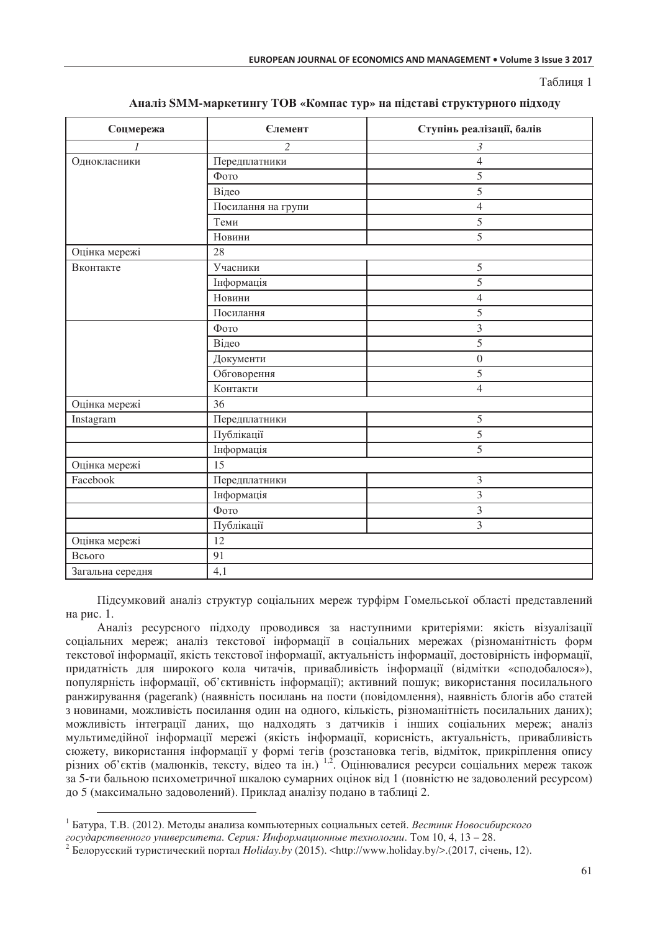Таблиня 1

| Соцмережа        | <b>Єлемент</b>     | Ступінь реалізації, балів |  |  |
|------------------|--------------------|---------------------------|--|--|
|                  | $\overline{c}$     | 3                         |  |  |
| Однокласники     | Передплатники      | 4                         |  |  |
|                  | Фото               | 5                         |  |  |
|                  | Відео              | 5                         |  |  |
|                  | Посилання на групи | $\overline{4}$            |  |  |
|                  | Теми               | 5                         |  |  |
|                  | Новини             | 5                         |  |  |
| Оцінка мережі    | 28                 |                           |  |  |
| Вконтакте        | Учасники           | 5                         |  |  |
|                  | Інформація         | 5                         |  |  |
|                  | Новини             | $\overline{4}$            |  |  |
|                  | Посилання          | 5                         |  |  |
|                  | Фото               | 3                         |  |  |
|                  | Відео              | 5                         |  |  |
|                  | Документи          | $\boldsymbol{0}$          |  |  |
|                  | Обговорення        | 5                         |  |  |
|                  | Контакти           | 4                         |  |  |
| Оцінка мережі    | 36                 |                           |  |  |
| Instagram        | Передплатники      | 5                         |  |  |
|                  | Публікації         | 5                         |  |  |
|                  | Інформація         | 5                         |  |  |
| Оцінка мережі    | $\overline{15}$    |                           |  |  |
| Facebook         | Передплатники      | 3                         |  |  |
|                  | Інформація         | 3                         |  |  |
|                  | Фото               | 3                         |  |  |
|                  | Публікації         | 3                         |  |  |
| Оцінка мережі    | 12                 |                           |  |  |
| Всього           | 91                 |                           |  |  |
| Загальна середня | 4,1                |                           |  |  |

#### Аналіз SMM-маркетингу ТОВ «Компас тур» на підставі структурного підходу

Підсумковий аналіз структур соціальних мереж турфірм Гомельської області представлений на рис. 1.

Аналіз ресурсного підходу проводився за наступними критеріями: якість візуалізації соціальних мереж; аналіз текстової інформації в соціальних мережах (різноманітність форм текстової інформації, якість текстової інформації, актуальність інформації, достовірність інформації, придатність для широкого кола читачів, привабливість інформації (відмітки «сподобалося»), популярність інформації, об'єктивність інформації); активний пошук; використання посилального ранжирування (pagerank) (наявність посилань на пости (повідомлення), наявність блогів або статей з новинами, можливість посилання один на одного, кількість, різноманітність посилальних даних); можливість інтеграції ланих, що налхолять з латчиків і інших соціальних мереж; аналіз мультимедійної інформації мережі (якість інформації, корисність, актуальність, привабливість сюжету, використання інформації у формі тегів (розстановка тегів, відміток, прикріплення опису різних об'єктів (малюнків, тексту, відео та ін.) 1,2. Оцінювалися ресурси соціальних мереж також за 5-ти бальною психометричної шкалою сумарних оцінок від 1 (повністю не задоволений ресурсом) до 5 (максимально задоволений). Приклад аналізу подано в таблиці 2.

<sup>&</sup>lt;sup>1</sup> Батура, Т.В. (2012). Методы анализа компьютерных социальных сетей. Вестник Новосибирского государственного университета. Серия: Информационные технологии. Том 10, 4, 13 – 28.

<sup>&</sup>lt;sup>2</sup> Белорусский туристический портал Holiday.by (2015). <http://www.holiday.by/>.(2017, січень, 12).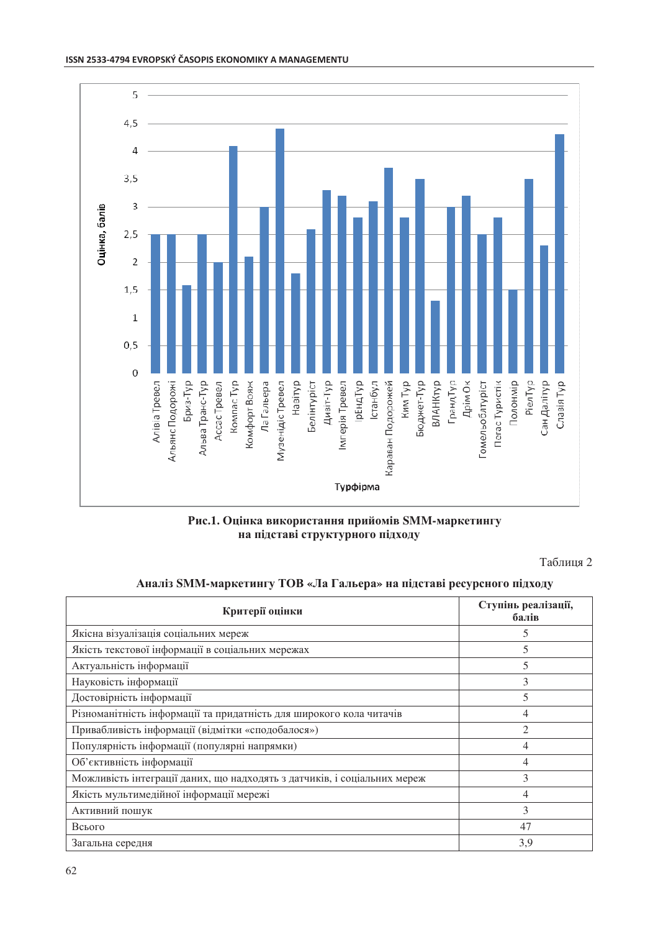

Рис.1. Оцінка використання прийомів SMM-маркетингу на підставі структурного підходу

Таблиця 2

#### Аналіз SMM-маркетингу ТОВ «Ла Гальера» на підставі ресурсного підходу

| Критерії оцінки                                                          | Ступінь реалізації,<br>балів |
|--------------------------------------------------------------------------|------------------------------|
| Якісна візуалізація соціальних мереж                                     | C                            |
| Якість текстової інформації в соціальних мережах                         | 5                            |
| Актуальність інформації                                                  | 5                            |
| Науковість інформації                                                    | 3                            |
| Достовірність інформації                                                 | 5                            |
| Різноманітність інформації та придатність для широкого кола читачів      | 4                            |
| Привабливість інформації (відмітки «сподобалося»)                        |                              |
| Популярність інформації (популярні напрямки)                             | 4                            |
| Об'єктивність інформації                                                 | 4                            |
| Можливість інтеграції даних, що надходять з датчиків, і соціальних мереж | 3                            |
| Якість мультимедійної інформації мережі                                  | 4                            |
| Активний пошук                                                           | 3                            |
| Всього                                                                   | 47                           |
| Загальна середня                                                         | 3,9                          |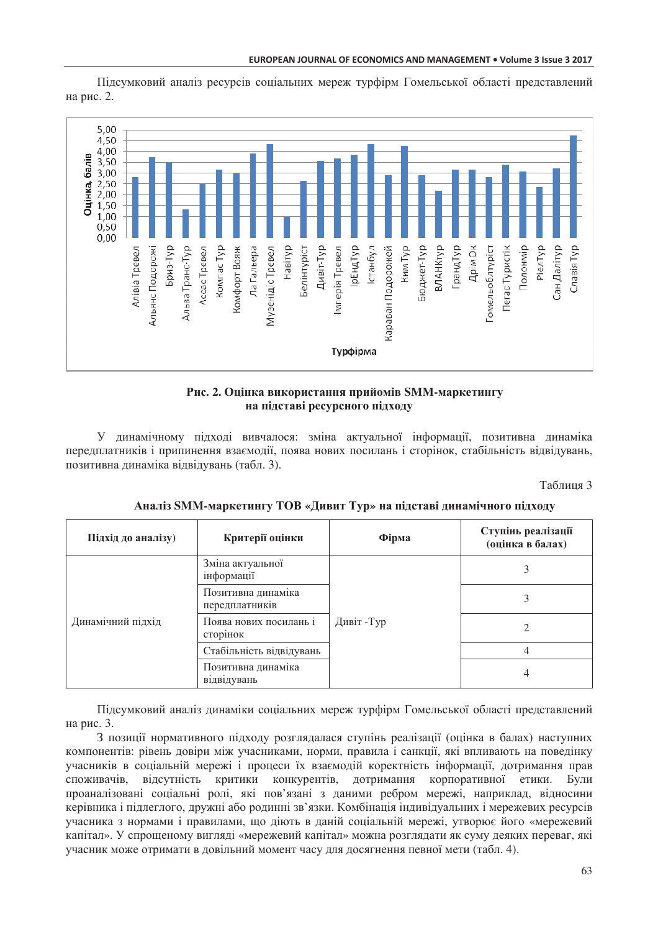Підсумковий аналіз ресурсів соціальних мереж турфірм Гомельської області представлений на рис. 2.



### Рис. 2. Оцінка використання прийомів SMM-маркетингу на підставі ресурсного підходу

У динамічному підході вивчалося: зміна актуальної інформації, позитивна динаміка передплатників і припинення взаємодії, поява нових посилань і сторінок, стабільність відвідувань, позитивна динаміка відвідувань (табл. 3).

Таблиня 3

| Підхід до аналізу) | Критерії оцінки                      | Фірма     | Ступінь реалізації<br>(оцінка в балах) |
|--------------------|--------------------------------------|-----------|----------------------------------------|
| Динамічний підхід  | Зміна актуальної<br>інформації       | Дивіт-Тур |                                        |
|                    | Позитивна динаміка<br>передплатників |           |                                        |
|                    | Поява нових посилань і<br>сторінок   |           |                                        |
|                    | Стабільність відвідувань             |           |                                        |
|                    | Позитивна динаміка<br>відвідувань    |           |                                        |

Аналіз SMM-маркетингу ТОВ «Дивит Тур» на підставі динамічного підходу

Пілсумковий аналіз линаміки соціальних мереж турфірм Гомельської області прелставлений на рис. 3.

З позиції нормативного підходу розглядалася ступінь реалізації (оцінка в балах) наступних компонентів: рівень довіри між учасниками, норми, правила і санкції, які впливають на поведінку учасників в соціальній мережі і процеси їх взаємодій коректність інформації, дотримання прав споживачів, відсутність критики конкурентів, дотримання корпоративної етики. Були проаналізовані соціальні ролі, які пов'язані з даними ребром мережі, наприклад, відносини керівника і піллеглого, лружні або ролинні зв'язки. Комбінація індивідуальних і мережевих ресурсів учасника з нормами і правилами, що діють в даній соціальній мережі, утворює його «мережевий капітал». У спрошеному виглялі «мережевий капітал» можна розглялати як суму леяких переваг, які учасник може отримати в довільний момент часу для досягнення певної мети (табл. 4).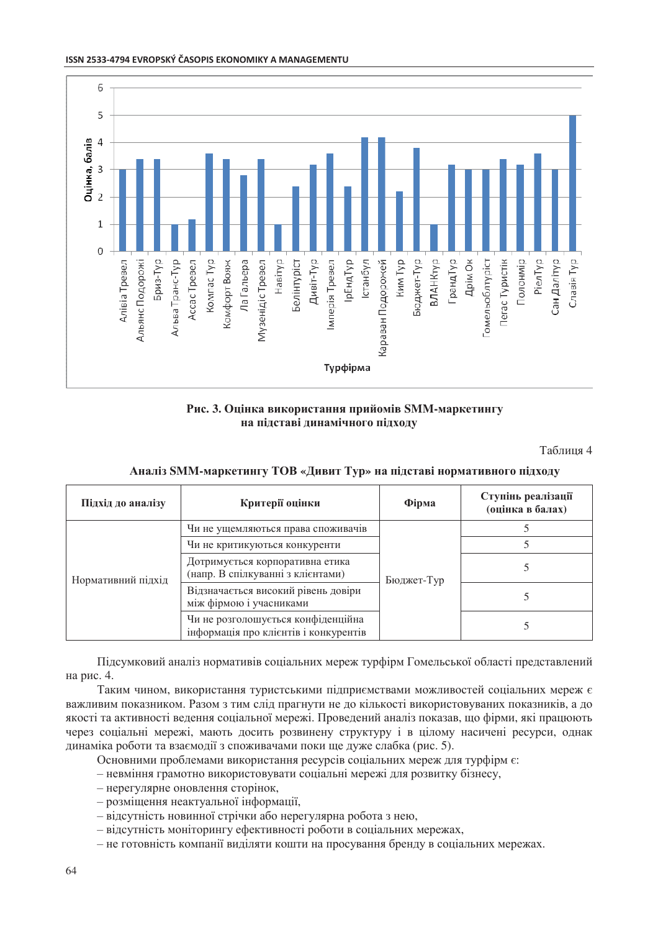



Рис. 3. Оцінка використання прийомів SMM-маркетингу на підставі динамічного підходу

Таблиця 4

| Підхід до аналізу  | Критерії оцінки                                                             | Фірма      | Ступінь реалізації<br>(оцінка в балах) |
|--------------------|-----------------------------------------------------------------------------|------------|----------------------------------------|
| Нормативний підхід | Чи не ущемляються права споживачів                                          | Бюджет-Тур |                                        |
|                    | Чи не критикуються конкуренти                                               |            |                                        |
|                    | Дотримується корпоративна етика<br>(напр. В спілкуванні з клієнтами)        |            |                                        |
|                    | Відзначається високий рівень довіри<br>між фірмою і учасниками              |            |                                        |
|                    | Чи не розголошується конфіденційна<br>інформація про клієнтів і конкурентів |            |                                        |

#### Аналіз SMM-маркетингу ТОВ «Дивит Тур» на підставі нормативного підходу

Підсумковий аналіз нормативів соціальних мереж турфірм Гомельської області представлений на рис. 4.

Таким чином, використання туристськими підприємствами можливостей соціальних мереж є важливим показником. Разом з тим слід прагнути не до кількості використовуваних показників, а до якості та активності ведення соціальної мережі. Проведений аналіз показав, що фірми, які працюють через соціальні мережі, мають досить розвинену структуру і в цілому насичені ресурси, однак линаміка роботи та взаємолії з споживачами поки ше луже слабка (рис. 5).

Основними проблемами використання ресурсів соціальних мереж для турфірм є:

- невміння грамотно використовувати соціальні мережі для розвитку бізнесу,

- нерегулярне оновлення сторінок,

- розміщення неактуальної інформації,
- відсутність новинної стрічки або нерегулярна робота з нею,
- відсутність моніторингу ефективності роботи в соціальних мережах,

- не готовність компанії виділяти кошти на просування бренду в соціальних мережах.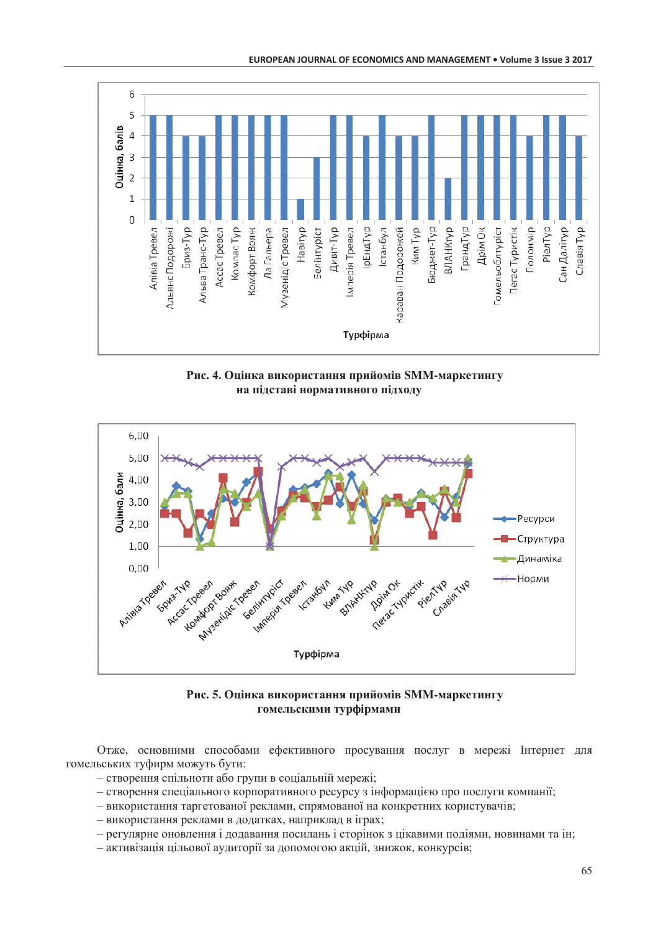

Рис. 4. Оцінка використання прийомів SMM-маркетингу на підставі нормативного підходу



Рис. 5. Оцінка використання прийомів SMM-маркетингу гомельскими турфірмами

Отже, основними способами ефективного просування послуг в мережі Інтернет для гомельських туфирм можуть бути:

- створення спільноти або групи в соціальній мережі;
- створення спеціального корпоративного ресурсу з інформацією про послуги компанії;
- використання таргетованої реклами, спрямованої на конкретних користувачів;
- використання реклами в додатках, наприклад в іграх;
- регулярне оновлення і додавання посилань і сторінок з цікавими подіями, новинами та ін;
- активізація цільової аудиторії за допомогою акцій, знижок, конкурсів;